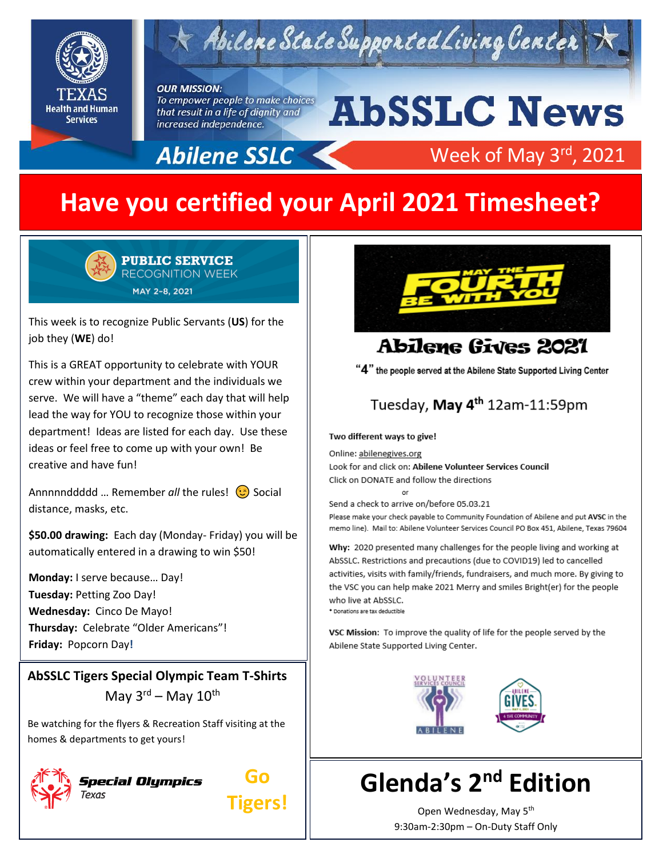

# Abilene State Supported Living Center

#### **OUR MISSION:**

To empower people to make choices that result in a life of dignity and increased independence.

Abilene SSLC

# **AbSSLC News**

Week of May 3rd, 2021

## **Have you certified your April 2021 Timesheet?**



This week is to recognize Public Servants (**US**) for the job they (**WE**) do!

This is a GREAT opportunity to celebrate with YOUR crew within your department and the individuals we serve. We will have a "theme" each day that will help lead the way for YOU to recognize those within your department! Ideas are listed for each day. Use these ideas or feel free to come up with your own! Be creative and have fun!

Annnnnddddd ... Remember *all* the rules! (Social distance, masks, etc.

**\$50.00 drawing:** Each day (Monday- Friday) you will be automatically entered in a drawing to win \$50!

**Monday:** I serve because… Day! **Tuesday:** Petting Zoo Day! **Wednesday:** Cinco De Mayo! **Thursday:** Celebrate "Older Americans"! **Friday:** Popcorn Day**!**

#### **AbSSLC Tigers Special Olympic Team T-Shirts** May  $3^{\text{rd}}$  – May  $10^{\text{th}}$

Be watching for the flyers & Recreation Staff visiting at the homes & departments to get yours!

**Go**

**Tigers!**



ipecial Olympics Texas



### **Abilene Gives 2021**

"4" the people served at the Abilene State Supported Living Center

#### Tuesday, May 4<sup>th</sup> 12am-11:59pm

Two different ways to give!

Online: abilenegives.org Look for and click on: Abilene Volunteer Services Council Click on DONATE and follow the directions or

Send a check to arrive on/before 05.03.21 Please make your check payable to Community Foundation of Abilene and put AVSC in the memo line). Mail to: Abilene Volunteer Services Council PO Box 451, Abilene, Texas 79604

Why: 2020 presented many challenges for the people living and working at AbSSLC. Restrictions and precautions (due to COVID19) led to cancelled activities, visits with family/friends, fundraisers, and much more. By giving to the VSC you can help make 2021 Merry and smiles Bright(er) for the people who live at AbSSLC.

\* Donations are tax deductible

VSC Mission: To improve the quality of life for the people served by the Abilene State Supported Living Center.



# **Glenda's 2nd Edition**

Open Wednesday, May 5<sup>th</sup> 9:30am-2:30pm – On-Duty Staff Only